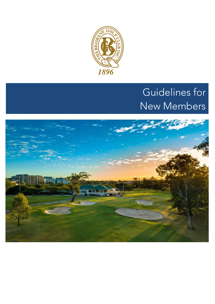

# Guidelines for New Members

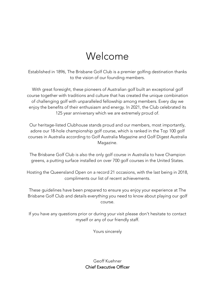# Welcome

Established in 1896, The Brisbane Golf Club is a premier golfing destination thanks to the vision of our founding members.

With great foresight, these pioneers of Australian golf built an exceptional golf course together with traditions and culture that has created the unique combination of challenging golf with unparalleled fellowship among members. Every day we enjoy the benefits of their enthusiasm and energy. In 2021, the Club celebrated its 125 year anniversary which we are extremely proud of.

Our heritage-listed Clubhouse stands proud and our members, most importantly, adore our 18-hole championship golf course, which is ranked in the Top 100 golf courses in Australia according to Golf Australia Magazine and Golf Digest Australia Magazine.

The Brisbane Golf Club is also the only golf course in Australia to have Champion greens, a putting surface installed on over 700 golf courses in the United States.

Hosting the Queensland Open on a record 21 occasions, with the last being in 2018, compliments our list of recent achievements.

These guidelines have been prepared to ensure you enjoy your experience at The Brisbane Golf Club and details everything you need to know about playing our golf course.

If you have any questions prior or during your visit please don't hesitate to contact myself or any of our friendly staff.

Yours sincerely

Geoff Kuehner Chief Executive Officer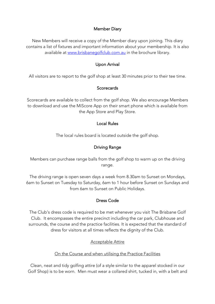#### Member Diary

New Members will receive a copy of the Member diary upon joining. This diary contains a list of fixtures and important information about your membership. It is also available at www.brisbanegolfclub.com.au in the brochure library.

#### Upon Arrival

All visitors are to report to the golf shop at least 30 minutes prior to their tee time.

#### **Scorecards**

Scorecards are available to collect from the golf shop. We also encourage Members to download and use the MiScore App on their smart phone which is available from the App Store and Play Store.

#### Local Rules

The local rules board is located outside the golf shop.

# Driving Range

Members can purchase range balls from the golf shop to warm up on the driving range.

The driving range is open seven days a week from 8.30am to Sunset on Mondays, 6am to Sunset on Tuesday to Saturday, 6am to 1 hour before Sunset on Sundays and from 6am to Sunset on Public Holidays.

### Dress Code

The Club's dress code is required to be met whenever you visit The Brisbane Golf Club. It encompasses the entire precinct including the car park, Clubhouse and surrounds, the course and the practice facilities. It is expected that the standard of dress for visitors at all times reflects the dignity of the Club.

### Acceptable Attire

#### On the Course and when utilising the Practice Facilities

Clean, neat and tidy golfing attire (of a style similar to the apparel stocked in our Golf Shop) is to be worn. Men must wear a collared shirt, tucked in, with a belt and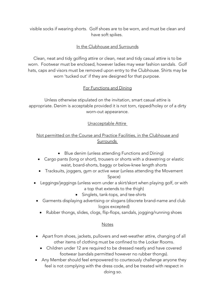visible socks if wearing shorts. Golf shoes are to be worn, and must be clean and have soft spikes.

# In the Clubhouse and Surrounds

Clean, neat and tidy golfing attire or clean, neat and tidy casual attire is to be worn. Footwear must be enclosed, however ladies may wear fashion sandals. Golf hats, caps and visors must be removed upon entry to the Clubhouse. Shirts may be worn 'tucked out' if they are designed for that purpose.

# For Functions and Dining

Unless otherwise stipulated on the invitation, smart casual attire is appropriate. Denim is acceptable provided it is not torn, ripped/holey or of a dirty worn-out appearance.

### Unacceptable Attire

# Not permitted on the Course and Practice Facilities, in the Clubhouse and Surrounds

- Blue denim (unless attending Functions and Dining)
- Cargo pants (long or short), trousers or shorts with a drawstring or elastic waist, board-shorts, baggy or below-knee length shorts
- Tracksuits, joggers, gym or active wear (unless attending the Movement Space)
- Leggings/jeggings (unless worn under a skirt/skort when playing golf, or with a top that extends to the thigh)
	- Singlets, tank-tops, and tee-shirts
- Garments displaying advertising or slogans (discrete brand-name and club logos excepted)
	- Rubber thongs, slides, clogs, flip-flops, sandals, jogging/running shoes

### **Notes**

- Apart from shoes, jackets, pullovers and wet-weather attire, changing of all other items of clothing must be confined to the Locker Rooms.
	- Children under 12 are required to be dressed neatly and have covered footwear (sandals permitted however no rubber thongs).
- Any Member should feel empowered to courteously challenge anyone they feel is not complying with the dress code, and be treated with respect in doing so.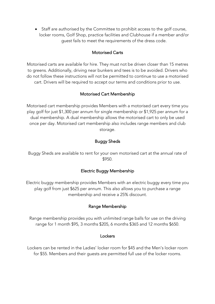• Staff are authorised by the Committee to prohibit access to the golf course, locker rooms, Golf Shop, practice facilities and Clubhouse if a member and/or guest fails to meet the requirements of the dress code.

### Motorised Carts

Motorised carts are available for hire. They must not be driven closer than 15 metres to greens. Additionally, driving near bunkers and tees is to be avoided. Drivers who do not follow these instructions will not be permitted to continue to use a motorised cart. Drivers will be required to accept our terms and conditions prior to use.

#### Motorised Cart Membership

Motorised cart membership provides Members with a motorised cart every time you play golf for just \$1,300 per annum for single membership or \$1,925 per annum for a dual membership. A dual membership allows the motorised cart to only be used once per day. Motorised cart membership also includes range members and club storage.

### Buggy Sheds

Buggy Sheds are available to rent for your own motorised cart at the annual rate of \$950.

### Electric Buggy Membership

Electric buggy membership provides Members with an electric buggy every time you play golf from just \$625 per annum. This also allows you to purchase a range membership and receive a 25% discount.

#### Range Membership

Range membership provides you with unlimited range balls for use on the driving range for 1 month \$95, 3 months \$205, 6 months \$365 and 12 months \$650.

#### Lockers

Lockers can be rented in the Ladies' locker room for \$45 and the Men's locker room for \$55. Members and their guests are permitted full use of the locker rooms.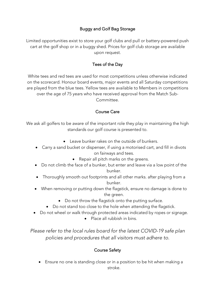# Buggy and Golf Bag Storage

Limited opportunities exist to store your golf clubs and pull or battery-powered push cart at the golf shop or in a buggy shed. Prices for golf club storage are available upon request.

# Tees of the Day

White tees and red tees are used for most competitions unless otherwise indicated on the scorecard. Honour board events, major events and all Saturday competitions are played from the blue tees. Yellow tees are available to Members in competitions over the age of 75 years who have received approval from the Match Sub-Committee.

### Course Care

We ask all golfers to be aware of the important role they play in maintaining the high standards our golf course is presented to.

- Leave bunker rakes on the outside of bunkers.
- Carry a sand bucket or dispenser, if using a motorised cart, and fill in divots on fairways and tees.
	- Repair all pitch marks on the greens.
- Do not climb the face of a bunker, but enter and leave via a low point of the bunker.
- Thoroughly smooth out footprints and all other marks. after playing from a bunker.
- When removing or putting down the flagstick, ensure no damage is done to the green.
	- Do not throw the flagstick onto the putting surface.
	- Do not stand too close to the hole when attending the flagstick.
- Do not wheel or walk through protected areas indicated by ropes or signage.
	- Place all rubbish in bins.

*Please refer to the local rules board for the latest COVID-19 safe plan policies and procedures that all visitors must adhere to.* 

### Course Safety

• Ensure no one is standing close or in a position to be hit when making a stroke.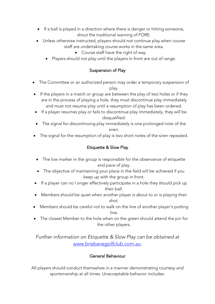- If a ball is played in a direction where there is danger or hitting someone, shout the traditional warning of FORE.
- Unless otherwise instructed, players should not continue play when course staff are undertaking course works in the same area.
	- Course staff have the right of way.
	- Players should not play until the players in front are out of range.

### Suspension of Play

- The Committee or an authorized person may order a temporary suspension of play.
- If the players in a match or group are between the play of two holes or if they are in the process of playing a hole, they must discontinue play immediately and must not resume play until a resumption of play has been ordered.
- If a player resumes play or fails to discontinue play immediately, they will be disqualified.
- The signal for discontinuing play immediately is one prolonged note of the siren.
- The signal for the resumption of play is two short notes of the siren repeated.

# Etiquette & Slow Play

- The low marker in the group is responsible for the observance of etiquette and pace of play.
- The objective of maintaining your place in the field will be achieved if you keep up with the group in front.
- If a player can no l onger effectively participate in a hole they should pick up their ball.
- Members should be quiet when another player is about to or is playing their shot.
- Members should be careful not to walk on the line of another player's putting line.
- The closest Member to the hole when on the green should attend the pin for the other players.

*Further information on Etiquette & Slow Play can be obtained at www.brisbanegolfclub.com.au.* 

### General Behaviour

All players should conduct themselves in a manner demonstrating courtesy and sportsmanship at all times. Unacceptable behavior includes: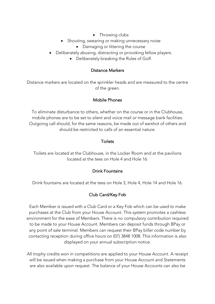- Throwing clubs
- Shouting, swearing or making unnecessary noise
	- Damaging or littering the course
- Deliberately abusing, distracting or provoking fellow players.
	- Deliberately breaking the Rules of Golf.

#### Distance Markers

Distance markers are located on the sprinkler heads and are measured to the centre of the green.

### Mobile Phones

To eliminate disturbance to others, whether on the course or in the Clubhouse, mobile phones are to be set to silent and voice mail or message bank facilities. Outgoing call should, for the same reasons, be made out of earshot of others and should be restricted to calls of an essential nature.

#### Toilets

Toilets are located at the Clubhouse, in the Locker Room and at the pavilions located at the tees on Hole 4 and Hole 16.

### Drink Fountains

Drink fountains are located at the tees on Hole 3, Hole 4, Hole 14 and Hole 16.

### Club Card/Key Fob

Each Member is issued with a Club Card or a Key Fob which can be used to make purchases at the Club from your House Account. This system promotes a cashless environment for the ease of Members. There is no compulsory contribution required to be made to your House Account. Members can deposit funds through BPay or any point of sale terminal. Members can request their BPay biller code number by contacting reception during office hours on (07) 3848 1008. This information is also displayed on your annual subscription notice.

All trophy credits won in competitions are applied to your House Account. A receipt will be issued when making a purchase from your House Account and Statements are also available upon request. The balance of your House Accounts can also be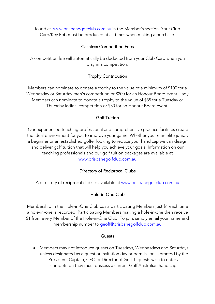found at www.brisbanegolfclub.com.au in the Member's section. Your Club Card/Key Fob must be produced at all times when making a purchase.

### Cashless Competition Fees

A competition fee will automatically be deducted from your Club Card when you play in a competition.

# Trophy Contribution

Members can nominate to donate a trophy to the value of a minimum of \$100 for a Wednesday or Saturday men's competition or \$200 for an Honour Board event. Lady Members can nominate to donate a trophy to the value of \$35 for a Tuesday or Thursday ladies' competition or \$50 for an Honour Board event.

# Golf Tuition

Our experienced teaching professional and comprehensive practice facilities create the ideal environment for you to improve your game. Whether you're an elite junior, a beginner or an established golfer looking to reduce your handicap we can design and deliver golf tuition that will help you achieve your goals. Information on our teaching professionals and our golf tuition packages are available at www.brisbanegolfclub.com.au

# Directory of Reciprocal Clubs

A directory of reciprocal clubs is available at www.brisbanegolfclub.com.au

### Hole-in-One Club

Membership in the Hole-in-One Club costs participating Members just \$1 each time a hole-in-one is recorded. Participating Members making a hole-in-one then receive \$1 from every Member of the Hole-in-One Club. To join, simply email your name and membership number to geoff@brisbanegolfclub.com.au

#### Guests

• Members may not introduce guests on Tuesdays, Wednesdays and Saturdays unless designated as a guest or invitation day or permission is granted by the President, Captain, CEO or Director of Golf. If guests wish to enter a competition they must possess a current Golf Australian handicap.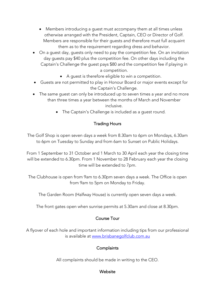- Members introducing a guest must accompany them at all times unless otherwise arranged with the President, Captain, CEO or Director of Golf. Members are responsible for their guests and therefore must full acquaint them as to the requirement regarding dress and behavior.
- On a guest day, guests only need to pay the competition fee. On an invitation day guests pay \$40 plus the competition fee. On other days including the Captain's Challenge the guest pays \$80 and the competition fee if playing in a competition.
	- A guest is therefore eligible to win a competition.
- Guests are not permitted to play in Honour Board or major events except for the Captain's Challenge.
- The same guest can only be introduced up to seven times a year and no more than three times a year between the months of March and November

inclusive.

• The Captain's Challenge is included as a guest round.

### Trading Hours

The Golf Shop is open seven days a week from 8.30am to 6pm on Mondays, 6.30am to 6pm on Tuesday to Sunday and from 6am to Sunset on Public Holidays.

From 1 September to 31 October and 1 March to 30 April each year the closing time will be extended to 6.30pm. From 1 November to 28 February each year the closing time will be extended to 7pm.

The Clubhouse is open from 9am to 6.30pm seven days a week. The Office is open from 9am to 5pm on Monday to Friday.

The Garden Room (Halfway House) is currently open seven days a week.

The front gates open when sunrise permits at 5.30am and close at 8.30pm.

### Course Tour

A flyover of each hole and important information including tips from our professional is available at www.brisbanegolfclub.com.au

### **Complaints**

All complaints should be made in writing to the CEO.

### **Website**